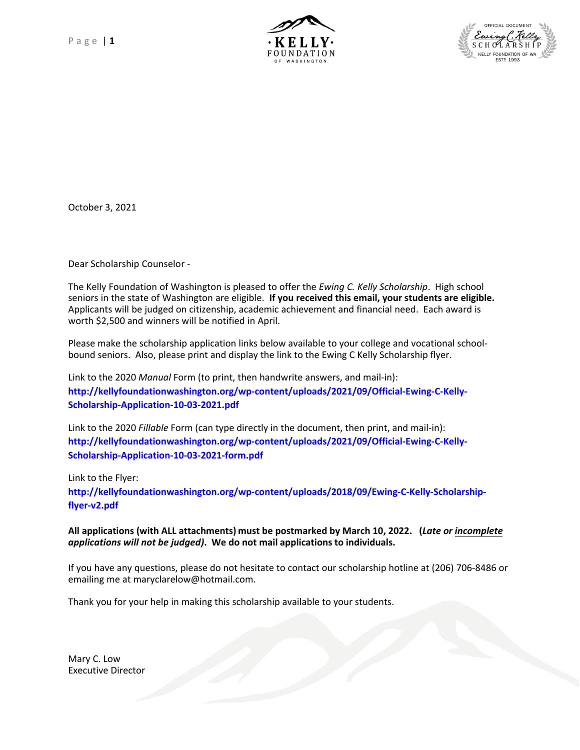



October 3, 2021

Dear Scholarship Counselor -

The Kelly Foundation of Washington is pleased to offer the *Ewing C. Kelly Scholarship*. High school seniors in the state of Washington are eligible. **If you received this email, your students are eligible.**  Applicants will be judged on citizenship, academic achievement and financial need. Each award is worth \$2,500 and winners will be notified in April.

Please make the scholarship application links below available to your college and vocational schoolbound seniors. Also, please print and display the link to the Ewing C Kelly Scholarship flyer.

Link to the 2020 *Manual* Form (to print, then handwrite answers, and mail-in): **http://kellyfoundationwashington.org/wp-content/uploads/2021/09/Official-Ewing-C-Kelly-Scholarship-Application-10-03-2021.pdf**

Link to the 2020 *Fillable* Form (can type directly in the document, then print, and mail-in): **http://kellyfoundationwashington.org/wp-content/uploads/2021/09/Official-Ewing-C-Kelly-Scholarship-Application-10-03-2021-form.pdf**

Link to the Flyer: **http://kellyfoundationwashington.org/wp-content/uploads/2018/09/Ewing-C-Kelly-Scholarshipflyer-v2.pdf**

#### **All applications (with ALL attachments) must be postmarked by March 10, 2022. (***Late or incomplete applications will not be judged)***. We do not mail applications to individuals.**

If you have any questions, please do not hesitate to contact our scholarship hotline at (206) 706-8486 or emailing me at maryclarelow@hotmail.com.

Thank you for your help in making this scholarship available to your students.

Mary C. Low Executive Director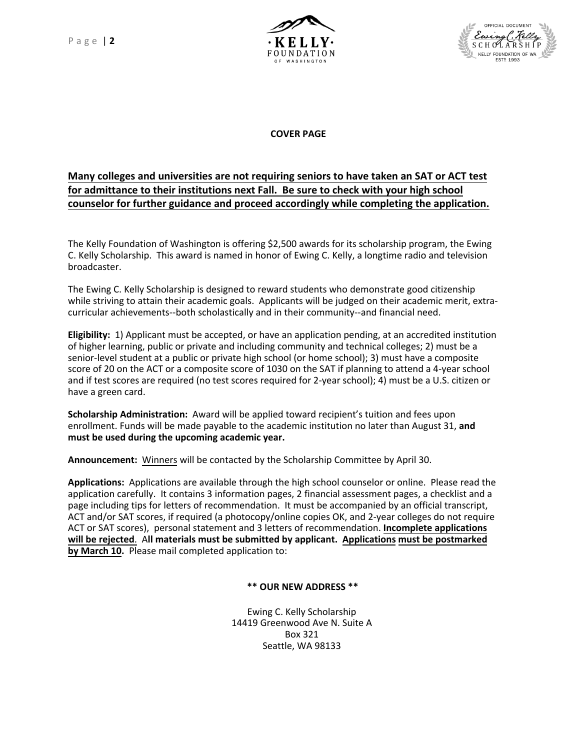Page | **2**





**COVER PAGE**

# **Many colleges and universities are not requiring seniors to have taken an SAT or ACT test for admittance to their institutions next Fall. Be sure to check with your high school counselor for further guidance and proceed accordingly while completing the application.**

The Kelly Foundation of Washington is offering \$2,500 awards for its scholarship program, the Ewing C. Kelly Scholarship. This award is named in honor of Ewing C. Kelly, a longtime radio and television broadcaster.

The Ewing C. Kelly Scholarship is designed to reward students who demonstrate good citizenship while striving to attain their academic goals. Applicants will be judged on their academic merit, extracurricular achievements--both scholastically and in their community--and financial need.

**Eligibility:** 1) Applicant must be accepted, or have an application pending, at an accredited institution of higher learning, public or private and including community and technical colleges; 2) must be a senior-level student at a public or private high school (or home school); 3) must have a composite score of 20 on the ACT or a composite score of 1030 on the SAT if planning to attend a 4-year school and if test scores are required (no test scores required for 2-year school); 4) must be a U.S. citizen or have a green card.

**Scholarship Administration:** Award will be applied toward recipient's tuition and fees upon enrollment. Funds will be made payable to the academic institution no later than August 31, **and must be used during the upcoming academic year.**

**Announcement:** Winners will be contacted by the Scholarship Committee by April 30.

**Applications:** Applications are available through the high school counselor or online. Please read the application carefully. It contains 3 information pages, 2 financial assessment pages, a checklist and a page including tips for letters of recommendation. It must be accompanied by an official transcript, ACT and/or SAT scores, if required (a photocopy/online copies OK, and 2-year colleges do not require ACT or SAT scores), personal statement and 3 letters of recommendation. **Incomplete applications will be rejected**. A**ll materials must be submitted by applicant. Applications must be postmarked by March 10.** Please mail completed application to:

**\*\* OUR NEW ADDRESS \*\***

Ewing C. Kelly Scholarship 14419 Greenwood Ave N. Suite A Box 321 Seattle, WA 98133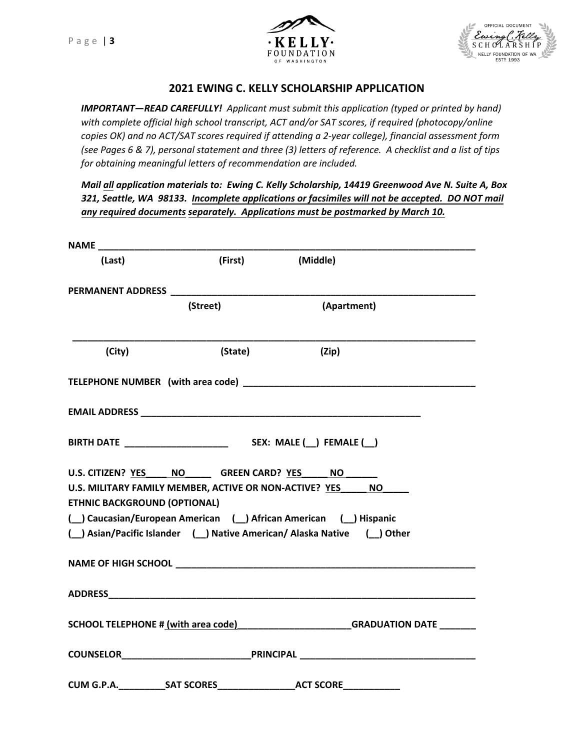



# **2021 EWING C. KELLY SCHOLARSHIP APPLICATION**

*IMPORTANT—READ CAREFULLY! Applicant must submit this application (typed or printed by hand) with complete official high school transcript, ACT and/or SAT scores, if required (photocopy/online copies OK) and no ACT/SAT scores required if attending a 2-year college), financial assessment form (see Pages 6 & 7), personal statement and three (3) letters of reference. A checklist and a list of tips for obtaining meaningful letters of recommendation are included.* 

*Mail all application materials to: Ewing C. Kelly Scholarship, 14419 Greenwood Ave N. Suite A, Box 321, Seattle, WA 98133. Incomplete applications or facsimiles will not be accepted. DO NOT mail any required documents separately. Applications must be postmarked by March 10.* 

| (Last)                                  | (First)  | (Middle)                                                                                                                                                                                                                             |
|-----------------------------------------|----------|--------------------------------------------------------------------------------------------------------------------------------------------------------------------------------------------------------------------------------------|
|                                         |          |                                                                                                                                                                                                                                      |
|                                         | (Street) | (Apartment)                                                                                                                                                                                                                          |
| (City)                                  | (State)  | (Zip)                                                                                                                                                                                                                                |
|                                         |          |                                                                                                                                                                                                                                      |
|                                         |          |                                                                                                                                                                                                                                      |
|                                         |          |                                                                                                                                                                                                                                      |
| U.S. CITIZEN? YES NO GREEN CARD? YES NO |          |                                                                                                                                                                                                                                      |
| <b>ETHNIC BACKGROUND (OPTIONAL)</b>     |          | U.S. MILITARY FAMILY MEMBER, ACTIVE OR NON-ACTIVE? YES NO                                                                                                                                                                            |
|                                         |          | ( Caucasian/European American ( ) African American ( ) Hispanic                                                                                                                                                                      |
|                                         |          | ( _) Asian/Pacific Islander ( _) Native American/ Alaska Native ( _) Other                                                                                                                                                           |
|                                         |          | NAME OF HIGH SCHOOL <b>AND A SERVICE OF A SERVICE OF A SERVICE OF A SERVICE OF A SERVICE OF A SERVICE OF A SERVICE OF A SERVICE OF A SERVICE OF A SERVICE OF A SERVICE OF A SERVICE OF A SERVICE OF A SERVICE OF A SERVICE OF A </b> |
|                                         |          |                                                                                                                                                                                                                                      |
|                                         |          | SCHOOL TELEPHONE # (with area code)_______________________GRADUATION DATE _______                                                                                                                                                    |
|                                         |          |                                                                                                                                                                                                                                      |
| <b>CUM G.P.A.</b> SAT SCORES            |          | <b>Example 2018 ACT SCORE</b>                                                                                                                                                                                                        |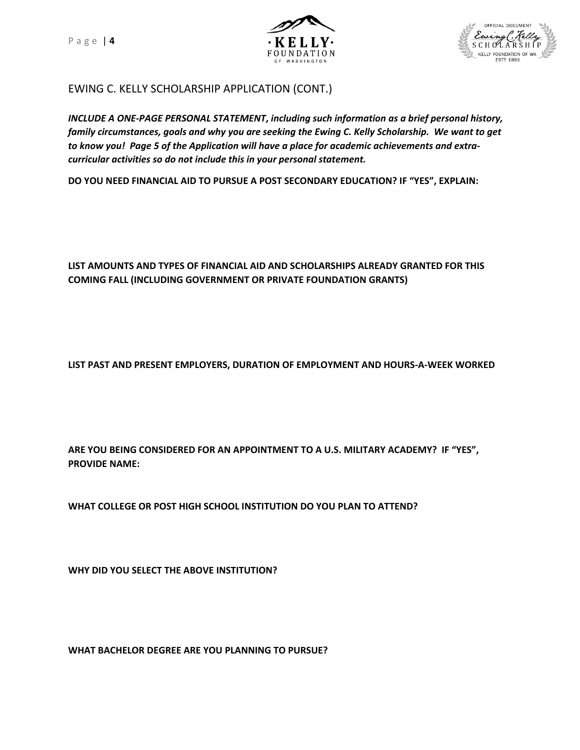Page | **4**





# EWING C. KELLY SCHOLARSHIP APPLICATION (CONT.)

*INCLUDE A ONE-PAGE PERSONAL STATEMENT***,** *including such information as a brief personal history, family circumstances, goals and why you are seeking the Ewing C. Kelly Scholarship. We want to get to know you! Page 5 of the Application will have a place for academic achievements and extracurricular activities so do not include this in your personal statement.*

**DO YOU NEED FINANCIAL AID TO PURSUE A POST SECONDARY EDUCATION? IF "YES", EXPLAIN:** 

### **LIST AMOUNTS AND TYPES OF FINANCIAL AID AND SCHOLARSHIPS ALREADY GRANTED FOR THIS COMING FALL (INCLUDING GOVERNMENT OR PRIVATE FOUNDATION GRANTS)**

**LIST PAST AND PRESENT EMPLOYERS, DURATION OF EMPLOYMENT AND HOURS-A-WEEK WORKED**

**ARE YOU BEING CONSIDERED FOR AN APPOINTMENT TO A U.S. MILITARY ACADEMY? IF "YES", PROVIDE NAME:** 

**WHAT COLLEGE OR POST HIGH SCHOOL INSTITUTION DO YOU PLAN TO ATTEND?**

**WHY DID YOU SELECT THE ABOVE INSTITUTION?**

**WHAT BACHELOR DEGREE ARE YOU PLANNING TO PURSUE?**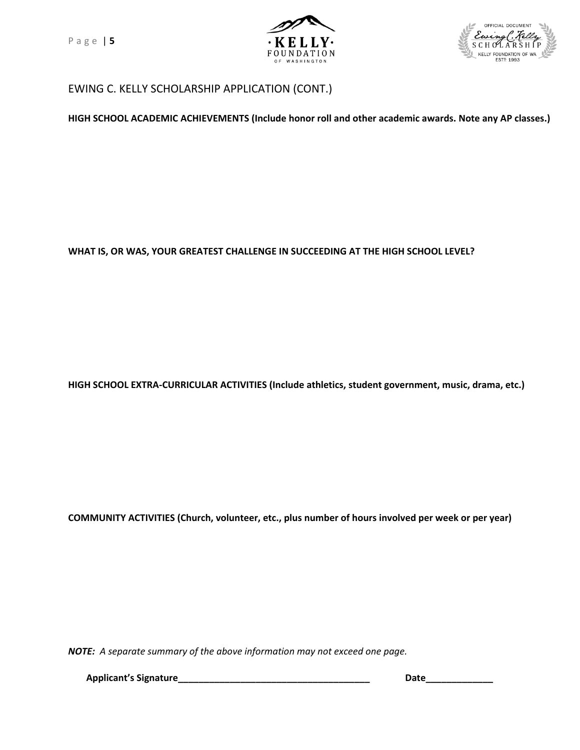Page | **5**





# EWING C. KELLY SCHOLARSHIP APPLICATION (CONT.)

**HIGH SCHOOL ACADEMIC ACHIEVEMENTS (Include honor roll and other academic awards. Note any AP classes.)**

#### **WHAT IS, OR WAS, YOUR GREATEST CHALLENGE IN SUCCEEDING AT THE HIGH SCHOOL LEVEL?**

**HIGH SCHOOL EXTRA-CURRICULAR ACTIVITIES (Include athletics, student government, music, drama, etc.)**

**COMMUNITY ACTIVITIES (Church, volunteer, etc., plus number of hours involved per week or per year)**

*NOTE: A separate summary of the above information may not exceed one page.*

**Applicant's Signature\_\_\_\_\_\_\_\_\_\_\_\_\_\_\_\_\_\_\_\_\_\_\_\_\_\_\_\_\_\_\_\_\_\_\_\_\_ Date\_\_\_\_\_\_\_\_\_\_\_\_\_**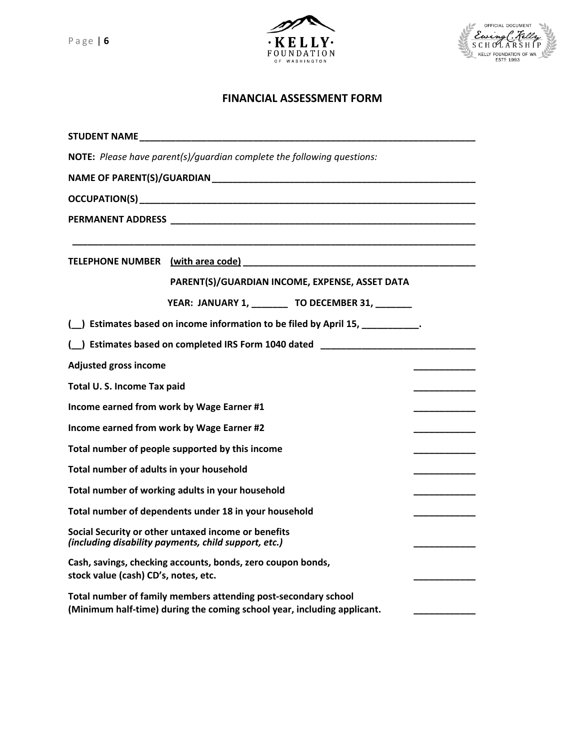



#### **FINANCIAL ASSESSMENT FORM**

| STUDENT NAME AND A STUDENT NAME                                                                             |                                                                                                                                           |  |  |  |
|-------------------------------------------------------------------------------------------------------------|-------------------------------------------------------------------------------------------------------------------------------------------|--|--|--|
|                                                                                                             | NOTE: Please have parent(s)/quardian complete the following questions:                                                                    |  |  |  |
|                                                                                                             |                                                                                                                                           |  |  |  |
|                                                                                                             |                                                                                                                                           |  |  |  |
|                                                                                                             |                                                                                                                                           |  |  |  |
|                                                                                                             | PARENT(S)/GUARDIAN INCOME, EXPENSE, ASSET DATA                                                                                            |  |  |  |
|                                                                                                             | YEAR: JANUARY 1, ________ TO DECEMBER 31, ______                                                                                          |  |  |  |
| ( ) Estimates based on income information to be filed by April 15, __________.                              |                                                                                                                                           |  |  |  |
|                                                                                                             | ( ) Estimates based on completed IRS Form 1040 dated ___________________________                                                          |  |  |  |
| <b>Adjusted gross income</b>                                                                                |                                                                                                                                           |  |  |  |
| Total U.S. Income Tax paid                                                                                  |                                                                                                                                           |  |  |  |
| Income earned from work by Wage Earner #1<br>_________                                                      |                                                                                                                                           |  |  |  |
| Income earned from work by Wage Earner #2                                                                   |                                                                                                                                           |  |  |  |
| Total number of people supported by this income                                                             |                                                                                                                                           |  |  |  |
| Total number of adults in your household                                                                    |                                                                                                                                           |  |  |  |
| Total number of working adults in your household                                                            |                                                                                                                                           |  |  |  |
| Total number of dependents under 18 in your household                                                       |                                                                                                                                           |  |  |  |
| Social Security or other untaxed income or benefits<br>(including disability payments, child support, etc.) |                                                                                                                                           |  |  |  |
| Cash, savings, checking accounts, bonds, zero coupon bonds,<br>stock value (cash) CD's, notes, etc.         |                                                                                                                                           |  |  |  |
|                                                                                                             | Total number of family members attending post-secondary school<br>(Minimum half-time) during the coming school year, including applicant. |  |  |  |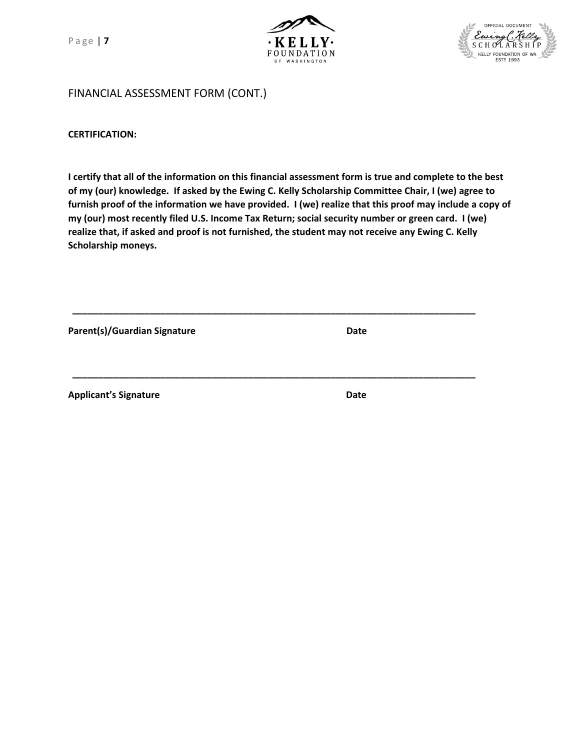P a ge | **7**





FINANCIAL ASSESSMENT FORM (CONT.)

**CERTIFICATION:**

**I certify that all of the information on this financial assessment form is true and complete to the best of my (our) knowledge. If asked by the Ewing C. Kelly Scholarship Committee Chair, I (we) agree to furnish proof of the information we have provided. I (we) realize that this proof may include a copy of my (our) most recently filed U.S. Income Tax Return; social security number or green card. I (we) realize that, if asked and proof is not furnished, the student may not receive any Ewing C. Kelly Scholarship moneys.**

**\_\_\_\_\_\_\_\_\_\_\_\_\_\_\_\_\_\_\_\_\_\_\_\_\_\_\_\_\_\_\_\_\_\_\_\_\_\_\_\_\_\_\_\_\_\_\_\_\_\_\_\_\_\_\_\_\_\_\_\_\_\_\_\_\_\_\_\_\_\_\_\_\_\_\_\_\_\_**

Parent(s)/Guardian Signature **Date Date Date** 

**Applicant's Signature Date Applicant's Signature Applicant** 

**\_\_\_\_\_\_\_\_\_\_\_\_\_\_\_\_\_\_\_\_\_\_\_\_\_\_\_\_\_\_\_\_\_\_\_\_\_\_\_\_\_\_\_\_\_\_\_\_\_\_\_\_\_\_\_\_\_\_\_\_\_\_\_\_\_\_\_\_\_\_\_\_\_\_\_\_\_\_**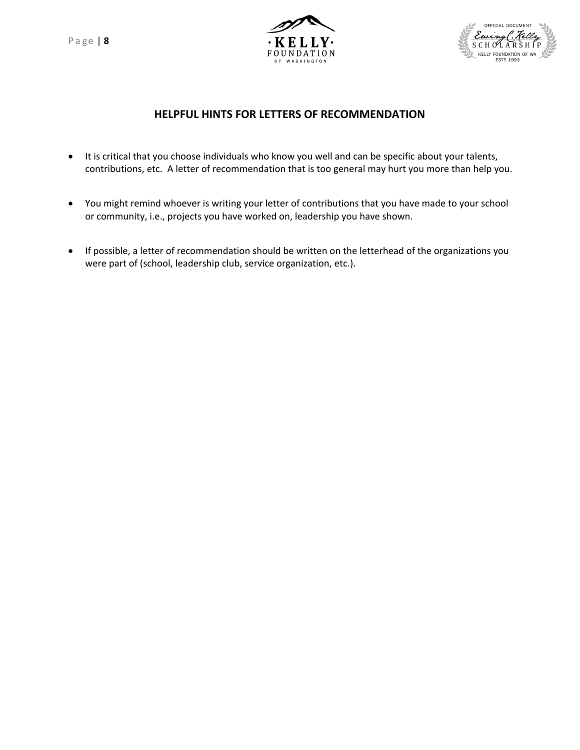P a ge | **8**





# **HELPFUL HINTS FOR LETTERS OF RECOMMENDATION**

- It is critical that you choose individuals who know you well and can be specific about your talents, contributions, etc. A letter of recommendation that is too general may hurt you more than help you.
- You might remind whoever is writing your letter of contributions that you have made to your school or community, i.e., projects you have worked on, leadership you have shown.
- If possible, a letter of recommendation should be written on the letterhead of the organizations you were part of (school, leadership club, service organization, etc.).